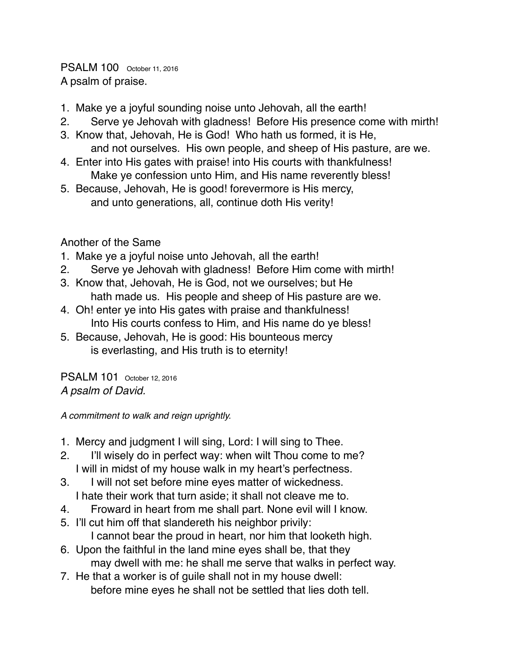PSALM 100 October 11, 2016 A psalm of praise.

- 1. Make ye a joyful sounding noise unto Jehovah, all the earth!
- 2. Serve ye Jehovah with gladness! Before His presence come with mirth!
- 3. Know that, Jehovah, He is God! Who hath us formed, it is He, and not ourselves. His own people, and sheep of His pasture, are we.
- 4. Enter into His gates with praise! into His courts with thankfulness! Make ye confession unto Him, and His name reverently bless!
- 5. Because, Jehovah, He is good! forevermore is His mercy, and unto generations, all, continue doth His verity!

Another of the Same

- 1. Make ye a joyful noise unto Jehovah, all the earth!
- 2. Serve ye Jehovah with gladness! Before Him come with mirth!
- 3. Know that, Jehovah, He is God, not we ourselves; but He hath made us. His people and sheep of His pasture are we.
- 4. Oh! enter ye into His gates with praise and thankfulness! Into His courts confess to Him, and His name do ye bless!
- 5. Because, Jehovah, He is good: His bounteous mercy is everlasting, and His truth is to eternity!

PSALM 101 October 12, 2016 *A psalm of David.*

*A commitment to walk and reign uprightly.*

- 1. Mercy and judgment I will sing, Lord: I will sing to Thee.
- 2. I'll wisely do in perfect way: when wilt Thou come to me? I will in midst of my house walk in my heart's perfectness.
- 3. I will not set before mine eyes matter of wickedness. I hate their work that turn aside; it shall not cleave me to.
- 4. Froward in heart from me shall part. None evil will I know.
- 5. I'll cut him off that slandereth his neighbor privily: I cannot bear the proud in heart, nor him that looketh high.
- 6. Upon the faithful in the land mine eyes shall be, that they may dwell with me: he shall me serve that walks in perfect way.
- 7. He that a worker is of guile shall not in my house dwell: before mine eyes he shall not be settled that lies doth tell.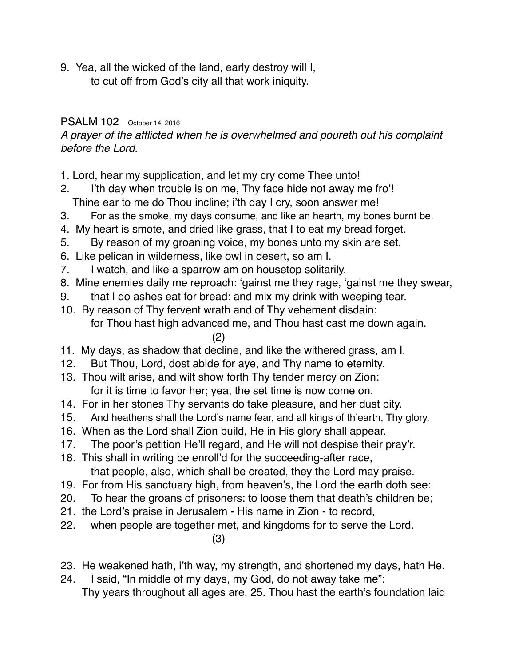9. Yea, all the wicked of the land, early destroy will I, to cut off from God's city all that work iniquity.

#### PSALM 102 October 14, 2016

*A prayer of the afflicted when he is overwhelmed and poureth out his complaint before the Lord.*

- 1. Lord, hear my supplication, and let my cry come Thee unto!
- 2. I'th day when trouble is on me, Thy face hide not away me fro'! Thine ear to me do Thou incline; i'th day I cry, soon answer me!
- 3. For as the smoke, my days consume, and like an hearth, my bones burnt be.
- 4. My heart is smote, and dried like grass, that I to eat my bread forget.
- 5. By reason of my groaning voice, my bones unto my skin are set.
- 6. Like pelican in wilderness, like owl in desert, so am I.
- 7. I watch, and like a sparrow am on housetop solitarily.
- 8. Mine enemies daily me reproach: 'gainst me they rage, 'gainst me they swear,
- 9. that I do ashes eat for bread: and mix my drink with weeping tear.
- 10. By reason of Thy fervent wrath and of Thy vehement disdain: for Thou hast high advanced me, and Thou hast cast me down again.

#### (2)

- 11. My days, as shadow that decline, and like the withered grass, am I.
- 12. But Thou, Lord, dost abide for aye, and Thy name to eternity.
- 13. Thou wilt arise, and wilt show forth Thy tender mercy on Zion: for it is time to favor her; yea, the set time is now come on.
- 14. For in her stones Thy servants do take pleasure, and her dust pity.
- 15. And heathens shall the Lord's name fear, and all kings of th'earth, Thy glory.
- 16. When as the Lord shall Zion build, He in His glory shall appear.
- 17. The poor's petition He'll regard, and He will not despise their pray'r.
- 18. This shall in writing be enroll'd for the succeeding-after race, that people, also, which shall be created, they the Lord may praise.
- 19. For from His sanctuary high, from heaven's, the Lord the earth doth see:
- 20. To hear the groans of prisoners: to loose them that death's children be;
- 21. the Lord's praise in Jerusalem His name in Zion to record,
- 22. when people are together met, and kingdoms for to serve the Lord.

#### (3)

- 23. He weakened hath, i'th way, my strength, and shortened my days, hath He.
- 24. I said, "In middle of my days, my God, do not away take me": Thy years throughout all ages are. 25. Thou hast the earth's foundation laid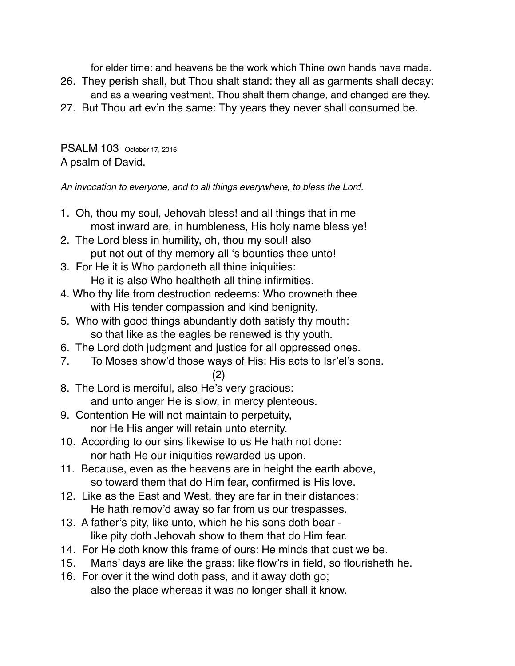for elder time: and heavens be the work which Thine own hands have made.

- 26. They perish shall, but Thou shalt stand: they all as garments shall decay: and as a wearing vestment, Thou shalt them change, and changed are they.
- 27. But Thou art ev'n the same: Thy years they never shall consumed be.

PSALM 103 October 17, 2016 A psalm of David.

*An invocation to everyone, and to all things everywhere, to bless the Lord.*

- 1. Oh, thou my soul, Jehovah bless! and all things that in me most inward are, in humbleness, His holy name bless ye!
- 2. The Lord bless in humility, oh, thou my soul! also put not out of thy memory all 's bounties thee unto!
- 3. For He it is Who pardoneth all thine iniquities: He it is also Who healtheth all thine infirmities.
- 4. Who thy life from destruction redeems: Who crowneth thee with His tender compassion and kind benignity.
- 5. Who with good things abundantly doth satisfy thy mouth: so that like as the eagles be renewed is thy youth.
- 6. The Lord doth judgment and justice for all oppressed ones.
- 7. To Moses show'd those ways of His: His acts to Isr'el's sons.
	- (2)
- 8. The Lord is merciful, also He's very gracious: and unto anger He is slow, in mercy plenteous.
- 9. Contention He will not maintain to perpetuity, nor He His anger will retain unto eternity.
- 10. According to our sins likewise to us He hath not done: nor hath He our iniquities rewarded us upon.
- 11. Because, even as the heavens are in height the earth above, so toward them that do Him fear, confirmed is His love.
- 12. Like as the East and West, they are far in their distances: He hath remov'd away so far from us our trespasses.
- 13. A father's pity, like unto, which he his sons doth bear like pity doth Jehovah show to them that do Him fear.
- 14. For He doth know this frame of ours: He minds that dust we be.
- 15. Mans' days are like the grass: like flow'rs in field, so flourisheth he.
- 16. For over it the wind doth pass, and it away doth go; also the place whereas it was no longer shall it know.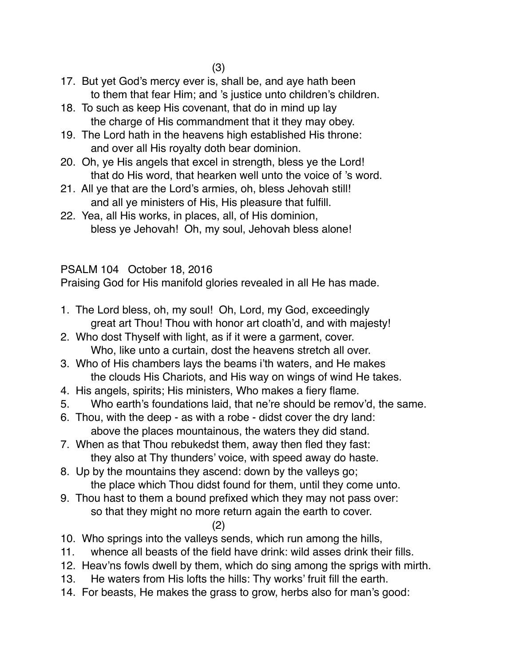- 17. But yet God's mercy ever is, shall be, and aye hath been to them that fear Him; and 's justice unto children's children.
- 18. To such as keep His covenant, that do in mind up lay the charge of His commandment that it they may obey.
- 19. The Lord hath in the heavens high established His throne: and over all His royalty doth bear dominion.
- 20. Oh, ye His angels that excel in strength, bless ye the Lord! that do His word, that hearken well unto the voice of 's word.
- 21. All ye that are the Lord's armies, oh, bless Jehovah still! and all ye ministers of His, His pleasure that fulfill.
- 22. Yea, all His works, in places, all, of His dominion, bless ye Jehovah! Oh, my soul, Jehovah bless alone!

## PSALM 104 October 18, 2016

Praising God for His manifold glories revealed in all He has made.

- 1. The Lord bless, oh, my soul! Oh, Lord, my God, exceedingly great art Thou! Thou with honor art cloath'd, and with majesty!
- 2. Who dost Thyself with light, as if it were a garment, cover. Who, like unto a curtain, dost the heavens stretch all over.
- 3. Who of His chambers lays the beams i'th waters, and He makes the clouds His Chariots, and His way on wings of wind He takes.
- 4. His angels, spirits; His ministers, Who makes a fiery flame.
- 5. Who earth's foundations laid, that ne're should be remov'd, the same.
- 6. Thou, with the deep as with a robe didst cover the dry land: above the places mountainous, the waters they did stand.
- 7. When as that Thou rebukedst them, away then fled they fast: they also at Thy thunders' voice, with speed away do haste.
- 8. Up by the mountains they ascend: down by the valleys go; the place which Thou didst found for them, until they come unto.
- 9. Thou hast to them a bound prefixed which they may not pass over: so that they might no more return again the earth to cover.

## (2)

- 10. Who springs into the valleys sends, which run among the hills,
- 11. whence all beasts of the field have drink: wild asses drink their fills.
- 12. Heav'ns fowls dwell by them, which do sing among the sprigs with mirth.
- 13. He waters from His lofts the hills: Thy works' fruit fill the earth.
- 14. For beasts, He makes the grass to grow, herbs also for man's good: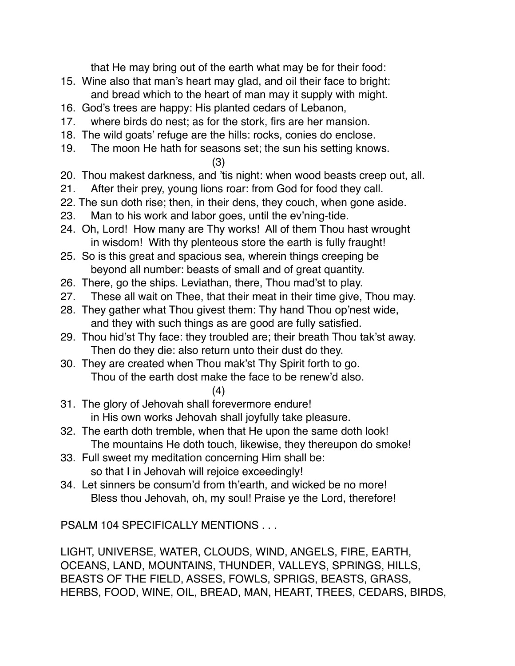that He may bring out of the earth what may be for their food:

- 15. Wine also that man's heart may glad, and oil their face to bright: and bread which to the heart of man may it supply with might.
- 16. God's trees are happy: His planted cedars of Lebanon,
- 17. where birds do nest; as for the stork, firs are her mansion.
- 18. The wild goats' refuge are the hills: rocks, conies do enclose.
- 19. The moon He hath for seasons set; the sun his setting knows.

(3)

- 20. Thou makest darkness, and 'tis night: when wood beasts creep out, all.
- 21. After their prey, young lions roar: from God for food they call.
- 22. The sun doth rise; then, in their dens, they couch, when gone aside.
- 23. Man to his work and labor goes, until the ev'ning-tide.
- 24. Oh, Lord! How many are Thy works! All of them Thou hast wrought in wisdom! With thy plenteous store the earth is fully fraught!
- 25. So is this great and spacious sea, wherein things creeping be beyond all number: beasts of small and of great quantity.
- 26. There, go the ships. Leviathan, there, Thou mad'st to play.
- 27. These all wait on Thee, that their meat in their time give, Thou may.
- 28. They gather what Thou givest them: Thy hand Thou op'nest wide, and they with such things as are good are fully satisfied.
- 29. Thou hid'st Thy face: they troubled are; their breath Thou tak'st away. Then do they die: also return unto their dust do they.
- 30. They are created when Thou mak'st Thy Spirit forth to go. Thou of the earth dost make the face to be renew'd also.
	- (4)
- 31. The glory of Jehovah shall forevermore endure! in His own works Jehovah shall joyfully take pleasure.
- 32. The earth doth tremble, when that He upon the same doth look! The mountains He doth touch, likewise, they thereupon do smoke!
- 33. Full sweet my meditation concerning Him shall be: so that I in Jehovah will rejoice exceedingly!
- 34. Let sinners be consum'd from th'earth, and wicked be no more! Bless thou Jehovah, oh, my soul! Praise ye the Lord, therefore!

PSALM 104 SPECIFICALLY MENTIONS . . .

LIGHT, UNIVERSE, WATER, CLOUDS, WIND, ANGELS, FIRE, EARTH, OCEANS, LAND, MOUNTAINS, THUNDER, VALLEYS, SPRINGS, HILLS, BEASTS OF THE FIELD, ASSES, FOWLS, SPRIGS, BEASTS, GRASS, HERBS, FOOD, WINE, OIL, BREAD, MAN, HEART, TREES, CEDARS, BIRDS,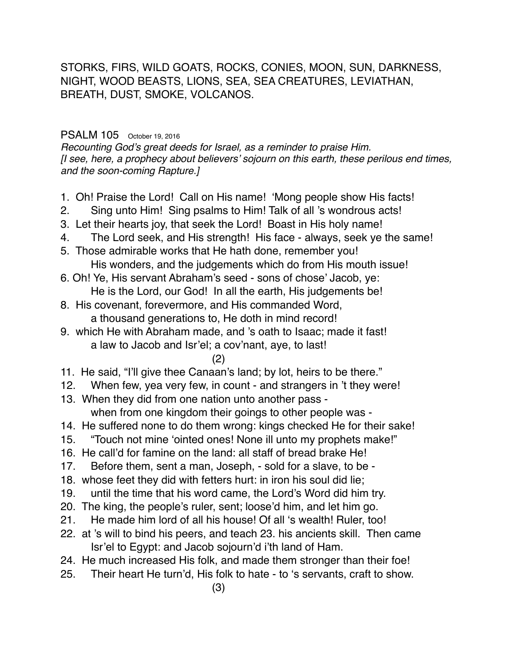STORKS, FIRS, WILD GOATS, ROCKS, CONIES, MOON, SUN, DARKNESS, NIGHT, WOOD BEASTS, LIONS, SEA, SEA CREATURES, LEVIATHAN, BREATH, DUST, SMOKE, VOLCANOS.

#### PSALM 105 October 19, 2016

*Recounting God's great deeds for Israel, as a reminder to praise Him. [I see, here, a prophecy about believers' sojourn on this earth, these perilous end times, and the soon-coming Rapture.]*

- 1. Oh! Praise the Lord! Call on His name! 'Mong people show His facts!
- 2. Sing unto Him! Sing psalms to Him! Talk of all 's wondrous acts!
- 3. Let their hearts joy, that seek the Lord! Boast in His holy name!
- 4. The Lord seek, and His strength! His face always, seek ye the same!
- 5. Those admirable works that He hath done, remember you! His wonders, and the judgements which do from His mouth issue!
- 6. Oh! Ye, His servant Abraham's seed sons of chose' Jacob, ye: He is the Lord, our God! In all the earth, His judgements be!
- 8. His covenant, forevermore, and His commanded Word, a thousand generations to, He doth in mind record!
- 9. which He with Abraham made, and 's oath to Isaac; made it fast! a law to Jacob and Isr'el; a cov'nant, aye, to last!

#### (2)

- 11. He said, "I'll give thee Canaan's land; by lot, heirs to be there."
- 12. When few, yea very few, in count and strangers in 't they were!
- 13. When they did from one nation unto another pass when from one kingdom their goings to other people was -
- 14. He suffered none to do them wrong: kings checked He for their sake!
- 15. "Touch not mine 'ointed ones! None ill unto my prophets make!"
- 16. He call'd for famine on the land: all staff of bread brake He!
- 17. Before them, sent a man, Joseph, sold for a slave, to be -
- 18. whose feet they did with fetters hurt: in iron his soul did lie;
- 19. until the time that his word came, the Lord's Word did him try.
- 20. The king, the people's ruler, sent; loose'd him, and let him go.
- 21. He made him lord of all his house! Of all 's wealth! Ruler, too!
- 22. at 's will to bind his peers, and teach 23. his ancients skill. Then came Isr'el to Egypt: and Jacob sojourn'd i'th land of Ham.
- 24. He much increased His folk, and made them stronger than their foe!
- 25. Their heart He turn'd, His folk to hate to 's servants, craft to show.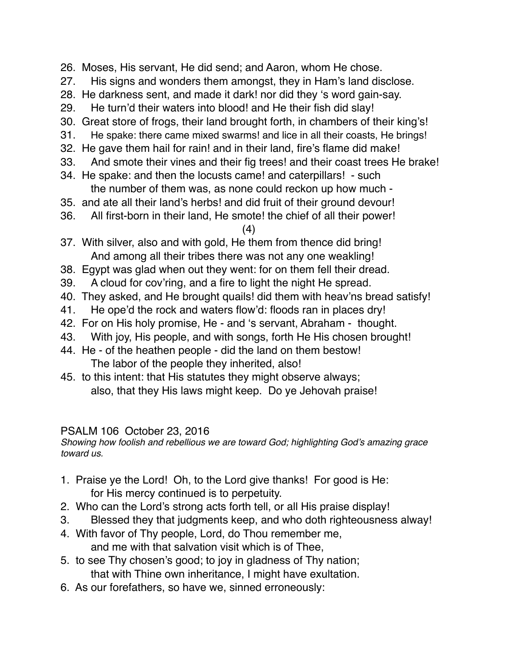- 26. Moses, His servant, He did send; and Aaron, whom He chose.
- 27. His signs and wonders them amongst, they in Ham's land disclose.
- 28. He darkness sent, and made it dark! nor did they 's word gain-say.
- 29. He turn'd their waters into blood! and He their fish did slay!
- 30. Great store of frogs, their land brought forth, in chambers of their king's!
- 31. He spake: there came mixed swarms! and lice in all their coasts, He brings!
- 32. He gave them hail for rain! and in their land, fire's flame did make!
- 33. And smote their vines and their fig trees! and their coast trees He brake!
- 34. He spake: and then the locusts came! and caterpillars! such the number of them was, as none could reckon up how much -
- 35. and ate all their land's herbs! and did fruit of their ground devour!
- 36. All first-born in their land, He smote! the chief of all their power!

(4)

- 37. With silver, also and with gold, He them from thence did bring! And among all their tribes there was not any one weakling!
- 38. Egypt was glad when out they went: for on them fell their dread.
- 39. A cloud for cov'ring, and a fire to light the night He spread.
- 40. They asked, and He brought quails! did them with heav'ns bread satisfy!
- 41. He ope'd the rock and waters flow'd: floods ran in places dry!
- 42. For on His holy promise, He and 's servant, Abraham thought.
- 43. With joy, His people, and with songs, forth He His chosen brought!
- 44. He of the heathen people did the land on them bestow! The labor of the people they inherited, also!
- 45. to this intent: that His statutes they might observe always; also, that they His laws might keep. Do ye Jehovah praise!

## PSALM 106 October 23, 2016

*Showing how foolish and rebellious we are toward God; highlighting God's amazing grace toward us.*

- 1. Praise ye the Lord! Oh, to the Lord give thanks! For good is He: for His mercy continued is to perpetuity.
- 2. Who can the Lord's strong acts forth tell, or all His praise display!
- 3. Blessed they that judgments keep, and who doth righteousness alway!
- 4. With favor of Thy people, Lord, do Thou remember me, and me with that salvation visit which is of Thee,
- 5. to see Thy chosen's good; to joy in gladness of Thy nation; that with Thine own inheritance, I might have exultation.
- 6. As our forefathers, so have we, sinned erroneously: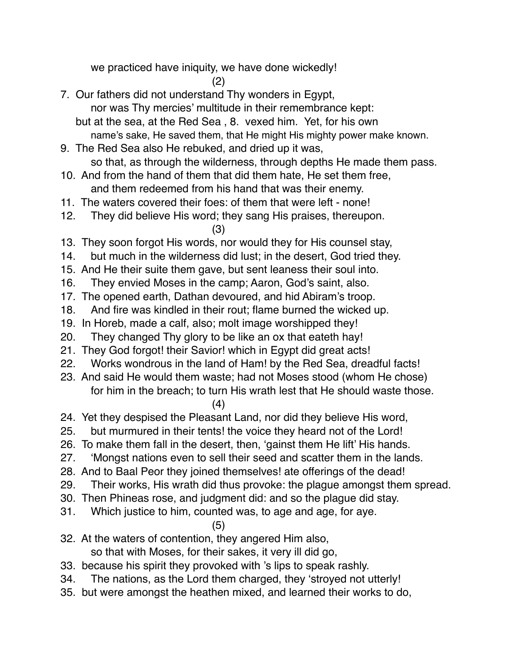we practiced have iniquity, we have done wickedly!

(2)

- 7. Our fathers did not understand Thy wonders in Egypt, nor was Thy mercies' multitude in their remembrance kept:
	- but at the sea, at the Red Sea , 8. vexed him. Yet, for his own name's sake, He saved them, that He might His mighty power make known.
- 9. The Red Sea also He rebuked, and dried up it was, so that, as through the wilderness, through depths He made them pass.
- 10. And from the hand of them that did them hate, He set them free, and them redeemed from his hand that was their enemy.
- 11. The waters covered their foes: of them that were left none!
- 12. They did believe His word; they sang His praises, thereupon.

(3)

- 13. They soon forgot His words, nor would they for His counsel stay,
- 14. but much in the wilderness did lust; in the desert, God tried they.
- 15. And He their suite them gave, but sent leaness their soul into.
- 16. They envied Moses in the camp; Aaron, God's saint, also.
- 17. The opened earth, Dathan devoured, and hid Abiram's troop.
- 18. And fire was kindled in their rout; flame burned the wicked up.
- 19. In Horeb, made a calf, also; molt image worshipped they!
- 20. They changed Thy glory to be like an ox that eateth hay!
- 21. They God forgot! their Savior! which in Egypt did great acts!
- 22. Works wondrous in the land of Ham! by the Red Sea, dreadful facts!
- 23. And said He would them waste; had not Moses stood (whom He chose) for him in the breach; to turn His wrath lest that He should waste those.

(4)

- 24. Yet they despised the Pleasant Land, nor did they believe His word,
- 25. but murmured in their tents! the voice they heard not of the Lord!
- 26. To make them fall in the desert, then, 'gainst them He lift' His hands.
- 27. 'Mongst nations even to sell their seed and scatter them in the lands.
- 28. And to Baal Peor they joined themselves! ate offerings of the dead!
- 29. Their works, His wrath did thus provoke: the plague amongst them spread.
- 30. Then Phineas rose, and judgment did: and so the plague did stay.
- 31. Which justice to him, counted was, to age and age, for aye.

(5)

32. At the waters of contention, they angered Him also,

so that with Moses, for their sakes, it very ill did go,

- 33. because his spirit they provoked with 's lips to speak rashly.
- 34. The nations, as the Lord them charged, they 'stroyed not utterly!
- 35. but were amongst the heathen mixed, and learned their works to do,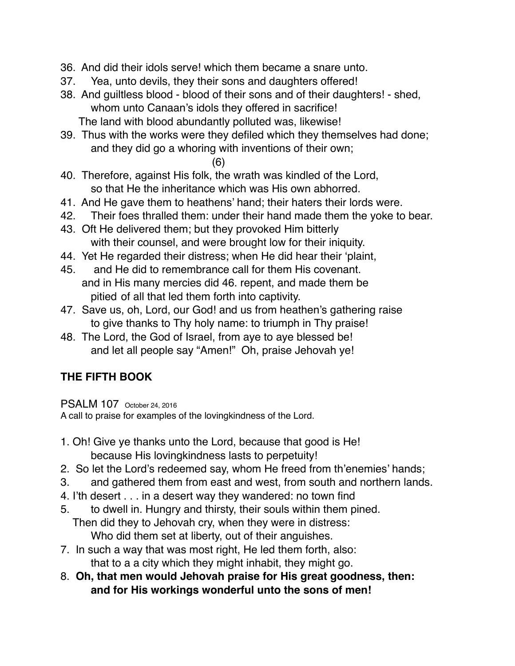- 36. And did their idols serve! which them became a snare unto.
- 37. Yea, unto devils, they their sons and daughters offered!
- 38. And guiltless blood blood of their sons and of their daughters! shed, whom unto Canaan's idols they offered in sacrifice! The land with blood abundantly polluted was, likewise!
- 39. Thus with the works were they defiled which they themselves had done; and they did go a whoring with inventions of their own;
	- (6)
- 40. Therefore, against His folk, the wrath was kindled of the Lord, so that He the inheritance which was His own abhorred.
- 41. And He gave them to heathens' hand; their haters their lords were.
- 42. Their foes thralled them: under their hand made them the yoke to bear.
- 43. Oft He delivered them; but they provoked Him bitterly with their counsel, and were brought low for their iniquity.
- 44. Yet He regarded their distress; when He did hear their 'plaint,
- 45. and He did to remembrance call for them His covenant. and in His many mercies did 46. repent, and made them be pitied of all that led them forth into captivity.
- 47. Save us, oh, Lord, our God! and us from heathen's gathering raise to give thanks to Thy holy name: to triumph in Thy praise!
- 48. The Lord, the God of Israel, from aye to aye blessed be! and let all people say "Amen!" Oh, praise Jehovah ye!

# **THE FIFTH BOOK**

PSALM 107 October 24, 2016

A call to praise for examples of the lovingkindness of the Lord.

- 1. Oh! Give ye thanks unto the Lord, because that good is He! because His lovingkindness lasts to perpetuity!
- 2. So let the Lord's redeemed say, whom He freed from th'enemies' hands;
- 3. and gathered them from east and west, from south and northern lands.
- 4. I'th desert . . . in a desert way they wandered: no town find
- 5. to dwell in. Hungry and thirsty, their souls within them pined. Then did they to Jehovah cry, when they were in distress: Who did them set at liberty, out of their anguishes.
- 7. In such a way that was most right, He led them forth, also: that to a a city which they might inhabit, they might go.
- 8. **Oh, that men would Jehovah praise for His great goodness, then: and for His workings wonderful unto the sons of men!**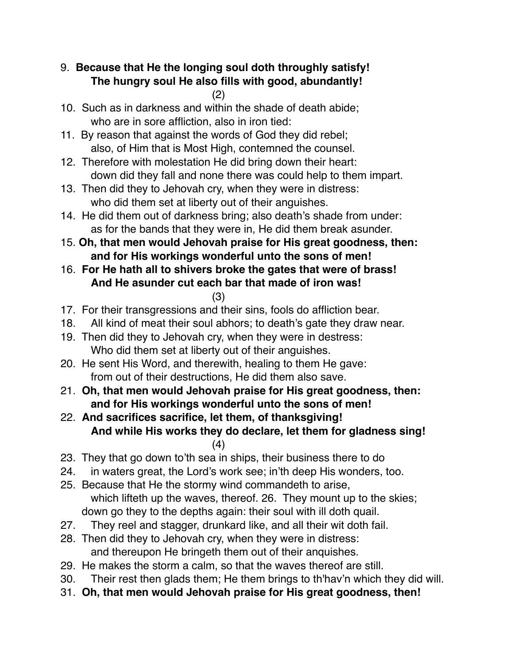# 9. **Because that He the longing soul doth throughly satisfy! The hungry soul He also fills with good, abundantly!**

- (2)
- 10. Such as in darkness and within the shade of death abide; who are in sore affliction, also in iron tied:
- 11. By reason that against the words of God they did rebel; also, of Him that is Most High, contemned the counsel.
- 12. Therefore with molestation He did bring down their heart: down did they fall and none there was could help to them impart.
- 13. Then did they to Jehovah cry, when they were in distress: who did them set at liberty out of their anguishes.
- 14. He did them out of darkness bring; also death's shade from under: as for the bands that they were in, He did them break asunder.
- 15. **Oh, that men would Jehovah praise for His great goodness, then: and for His workings wonderful unto the sons of men!**
- 16. **For He hath all to shivers broke the gates that were of brass! And He asunder cut each bar that made of iron was!** (3)
- 17. For their transgressions and their sins, fools do affliction bear.
- 18. All kind of meat their soul abhors; to death's gate they draw near.
- 19. Then did they to Jehovah cry, when they were in destress: Who did them set at liberty out of their anguishes.
- 20. He sent His Word, and therewith, healing to them He gave: from out of their destructions, He did them also save.
- 21. **Oh, that men would Jehovah praise for His great goodness, then: and for His workings wonderful unto the sons of men!**
- 22. **And sacrifices sacrifice, let them, of thanksgiving! And while His works they do declare, let them for gladness sing!** (4)
- 23. They that go down to'th sea in ships, their business there to do
- 24. in waters great, the Lord's work see; in'th deep His wonders, too.
- 25. Because that He the stormy wind commandeth to arise, which lifteth up the waves, thereof. 26. They mount up to the skies; down go they to the depths again: their soul with ill doth quail.
- 27. They reel and stagger, drunkard like, and all their wit doth fail.
- 28. Then did they to Jehovah cry, when they were in distress: and thereupon He bringeth them out of their anquishes.
- 29. He makes the storm a calm, so that the waves thereof are still.
- 30. Their rest then glads them; He them brings to th'hav'n which they did will.
- 31. **Oh, that men would Jehovah praise for His great goodness, then!**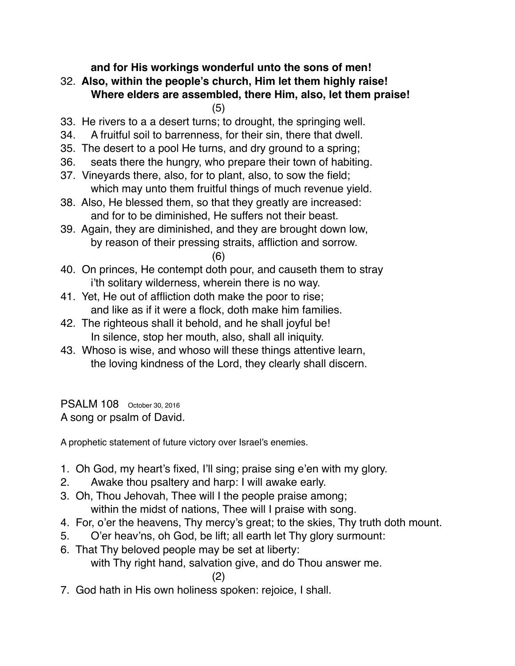**and for His workings wonderful unto the sons of men!**

32. **Also, within the people's church, Him let them highly raise! Where elders are assembled, there Him, also, let them praise!**

(5)

- 33. He rivers to a a desert turns; to drought, the springing well.
- 34. A fruitful soil to barrenness, for their sin, there that dwell.
- 35. The desert to a pool He turns, and dry ground to a spring;
- 36. seats there the hungry, who prepare their town of habiting.
- 37. Vineyards there, also, for to plant, also, to sow the field; which may unto them fruitful things of much revenue yield.
- 38. Also, He blessed them, so that they greatly are increased: and for to be diminished, He suffers not their beast.
- 39. Again, they are diminished, and they are brought down low, by reason of their pressing straits, affliction and sorrow.

(6)

- 40. On princes, He contempt doth pour, and causeth them to stray i'th solitary wilderness, wherein there is no way.
- 41. Yet, He out of affliction doth make the poor to rise; and like as if it were a flock, doth make him families.
- 42. The righteous shall it behold, and he shall joyful be! In silence, stop her mouth, also, shall all iniquity.
- 43. Whoso is wise, and whoso will these things attentive learn, the loving kindness of the Lord, they clearly shall discern.

PSALM 108 October 30, 2016 A song or psalm of David.

A prophetic statement of future victory over Israel's enemies.

- 1. Oh God, my heart's fixed, I'll sing; praise sing e'en with my glory.
- 2. Awake thou psaltery and harp: I will awake early.
- 3. Oh, Thou Jehovah, Thee will I the people praise among; within the midst of nations, Thee will I praise with song.
- 4. For, o'er the heavens, Thy mercy's great; to the skies, Thy truth doth mount.
- 5. O'er heav'ns, oh God, be lift; all earth let Thy glory surmount:
- 6. That Thy beloved people may be set at liberty: with Thy right hand, salvation give, and do Thou answer me.

(2)

7. God hath in His own holiness spoken: rejoice, I shall.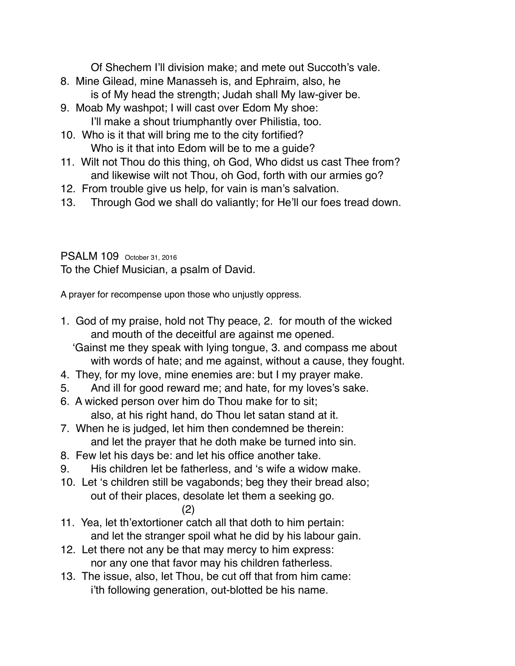Of Shechem I'll division make; and mete out Succoth's vale.

- 8. Mine Gilead, mine Manasseh is, and Ephraim, also, he is of My head the strength; Judah shall My law-giver be.
- 9. Moab My washpot; I will cast over Edom My shoe: I'll make a shout triumphantly over Philistia, too.
- 10. Who is it that will bring me to the city fortified? Who is it that into Edom will be to me a guide?
- 11. Wilt not Thou do this thing, oh God, Who didst us cast Thee from? and likewise wilt not Thou, oh God, forth with our armies go?
- 12. From trouble give us help, for vain is man's salvation.
- 13. Through God we shall do valiantly; for He'll our foes tread down.

PSALM 109 October 31, 2016 To the Chief Musician, a psalm of David.

A prayer for recompense upon those who unjustly oppress.

1. God of my praise, hold not Thy peace, 2. for mouth of the wicked and mouth of the deceitful are against me opened.

 'Gainst me they speak with lying tongue, 3. and compass me about with words of hate; and me against, without a cause, they fought.

- 4. They, for my love, mine enemies are: but I my prayer make.
- 5. And ill for good reward me; and hate, for my loves's sake.
- 6. A wicked person over him do Thou make for to sit; also, at his right hand, do Thou let satan stand at it.
- 7. When he is judged, let him then condemned be therein: and let the prayer that he doth make be turned into sin.
- 8. Few let his days be: and let his office another take.
- 9. His children let be fatherless, and 's wife a widow make.
- 10. Let 's children still be vagabonds; beg they their bread also; out of their places, desolate let them a seeking go.

$$
(2)
$$

- 11. Yea, let th'extortioner catch all that doth to him pertain: and let the stranger spoil what he did by his labour gain.
- 12. Let there not any be that may mercy to him express: nor any one that favor may his children fatherless.
- 13. The issue, also, let Thou, be cut off that from him came: i'th following generation, out-blotted be his name.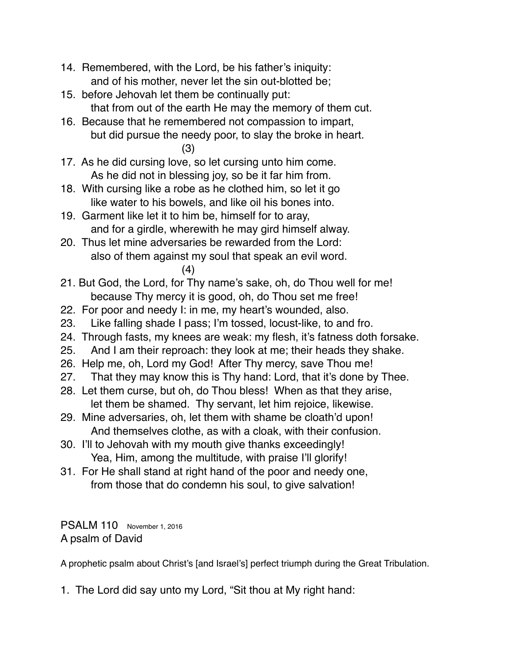- 14. Remembered, with the Lord, be his father's iniquity: and of his mother, never let the sin out-blotted be;
- 15. before Jehovah let them be continually put: that from out of the earth He may the memory of them cut.
- 16. Because that he remembered not compassion to impart, but did pursue the needy poor, to slay the broke in heart. (3)
- 17. As he did cursing love, so let cursing unto him come. As he did not in blessing joy, so be it far him from.
- 18. With cursing like a robe as he clothed him, so let it go like water to his bowels, and like oil his bones into.
- 19. Garment like let it to him be, himself for to aray, and for a girdle, wherewith he may gird himself alway.
- 20. Thus let mine adversaries be rewarded from the Lord: also of them against my soul that speak an evil word. (4)
- 21. But God, the Lord, for Thy name's sake, oh, do Thou well for me! because Thy mercy it is good, oh, do Thou set me free!
- 22. For poor and needy I: in me, my heart's wounded, also.
- 23. Like falling shade I pass; I'm tossed, locust-like, to and fro.
- 24. Through fasts, my knees are weak: my flesh, it's fatness doth forsake.
- 25. And I am their reproach: they look at me; their heads they shake.
- 26. Help me, oh, Lord my God! After Thy mercy, save Thou me!
- 27. That they may know this is Thy hand: Lord, that it's done by Thee.
- 28. Let them curse, but oh, do Thou bless! When as that they arise, let them be shamed. Thy servant, let him rejoice, likewise.
- 29. Mine adversaries, oh, let them with shame be cloath'd upon! And themselves clothe, as with a cloak, with their confusion.
- 30. I'll to Jehovah with my mouth give thanks exceedingly! Yea, Him, among the multitude, with praise I'll glorify!
- 31. For He shall stand at right hand of the poor and needy one, from those that do condemn his soul, to give salvation!

PSALM 110 November 1, 2016 A psalm of David

A prophetic psalm about Christ's [and Israel's] perfect triumph during the Great Tribulation.

1. The Lord did say unto my Lord, "Sit thou at My right hand: